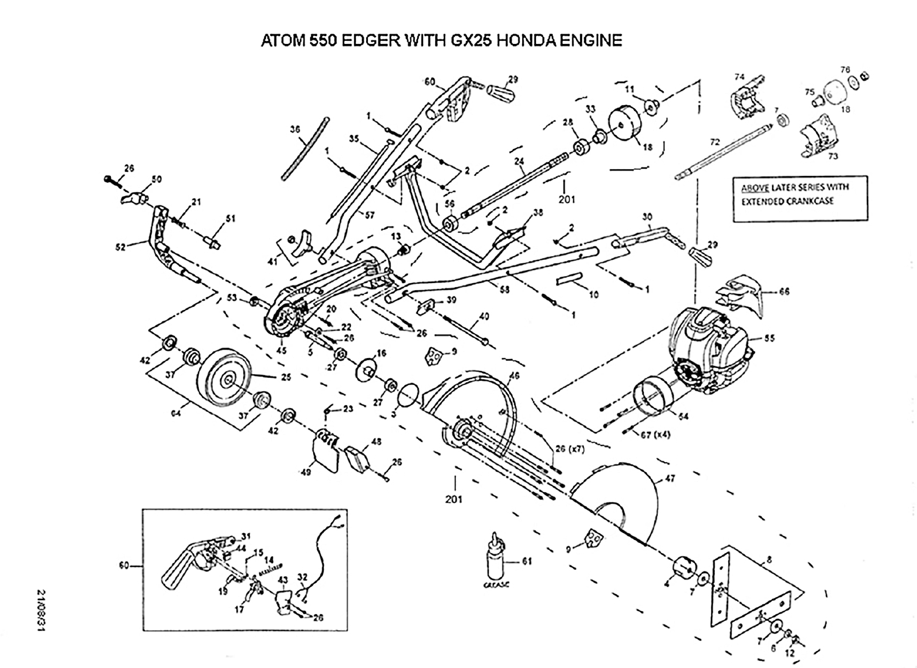## ATOM 550 EDGER WITH GX25 HONDA ENGINE